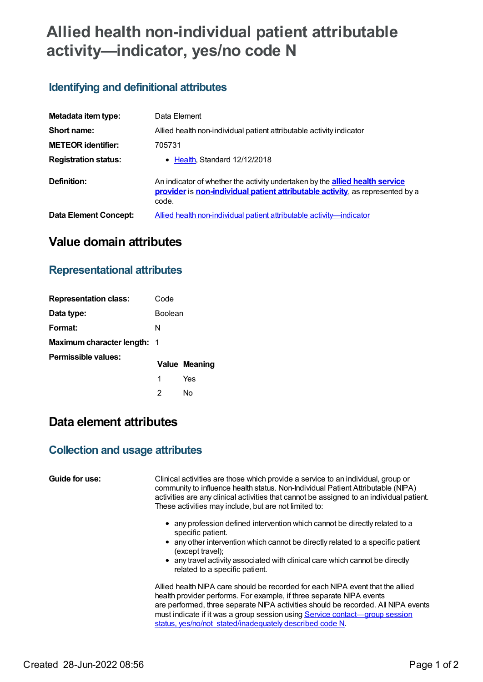# **Allied health non-individual patient attributable activity—indicator, yes/no code N**

## **Identifying and definitional attributes**

| Metadata item type:         | Data Element                                                                                                                                                                  |
|-----------------------------|-------------------------------------------------------------------------------------------------------------------------------------------------------------------------------|
| Short name:                 | Allied health non-individual patient attributable activity indicator                                                                                                          |
| <b>METEOR identifier:</b>   | 705731                                                                                                                                                                        |
| <b>Registration status:</b> | • Health, Standard 12/12/2018                                                                                                                                                 |
| Definition:                 | An indicator of whether the activity undertaken by the <b>allied health service</b><br>provider is non-individual patient attributable activity, as represented by a<br>code. |
| Data Element Concept:       | Allied health non-individual patient attributable activity—indicator                                                                                                          |

# **Value domain attributes**

### **Representational attributes**

| <b>Representation class:</b>       | Code           |                      |
|------------------------------------|----------------|----------------------|
| Data type:                         | <b>Boolean</b> |                      |
| Format:                            | N              |                      |
| <b>Maximum character length: 1</b> |                |                      |
| Permissible values:                |                | <b>Value Meaning</b> |
|                                    |                | Yes                  |
|                                    |                | No                   |

# **Data element attributes**

#### **Collection and usage attributes**

**Guide for use:** Clinical activities are those which provide a service to an individual, group or community to influence health status. Non-Individual Patient Attributable (NIPA) activities are any clinical activities that cannot be assigned to an individual patient. These activities may include, but are not limited to:

- any profession defined intervention which cannot be directly related to a specific patient.
- any other intervention which cannot be directly related to a specific patient (except travel);
- any travel activity associated with clinical care which cannot be directly related to a specific patient.

Allied health NIPA care should be recorded for each NIPA event that the allied health provider performs. For example, if three separate NIPA events are performed, three separate NIPA activities should be recorded. All NIPA events must indicate if it was a group session using Service contact—group session status, yes/no/not [stated/inadequately](file:///content/614203) described code N.